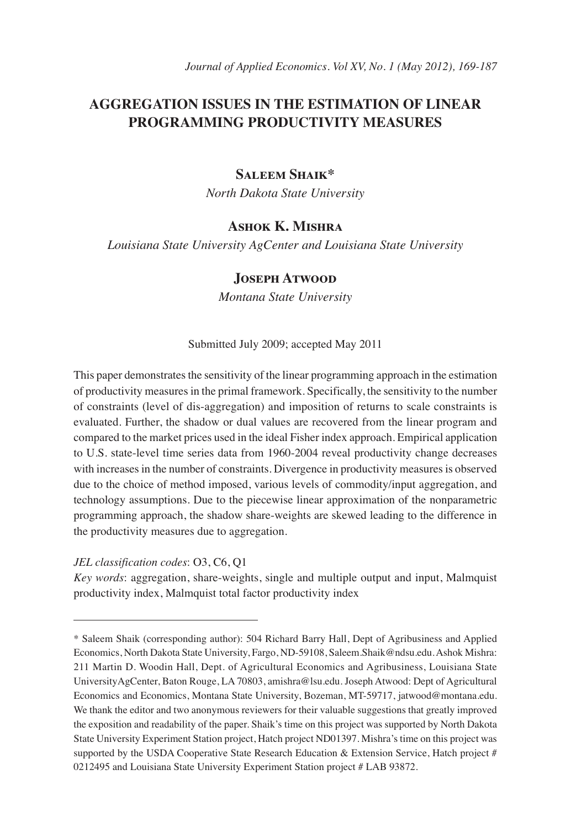# **AGGREGATION ISSUES IN THE ESTIMATION OF LINEAR PROGRAMMING PRODUCTIVITY MEASURES**

### **Saleem Shaik\***

*North Dakota State University* 

# **Ashok K. Mishra**

*Louisiana State University AgCenter and Louisiana State University*

#### **Joseph Atwood**

*Montana State University*

Submitted July 2009; accepted May 2011

This paper demonstrates the sensitivity of the linear programming approach in the estimation of productivity measures in the primal framework. Specifically, the sensitivity to the number of constraints (level of dis-aggregation) and imposition of returns to scale constraints is evaluated. Further, the shadow or dual values are recovered from the linear program and compared to the market prices used in the ideal Fisher index approach. Empirical application to U.S. state-level time series data from 1960-2004 reveal productivity change decreases with increases in the number of constraints. Divergence in productivity measures is observed due to the choice of method imposed, various levels of commodity/input aggregation, and technology assumptions. Due to the piecewise linear approximation of the nonparametric programming approach, the shadow share-weights are skewed leading to the difference in the productivity measures due to aggregation.

*JEL classification codes*: O3, C6, Q1

*Key words*: aggregation, share-weights, single and multiple output and input, Malmquist productivity index, Malmquist total factor productivity index

<sup>\*</sup> Saleem Shaik (corresponding author): 504 Richard Barry Hall, Dept of Agribusiness and Applied Economics, North Dakota State University, Fargo, ND-59108, Saleem.Shaik@ndsu.edu. Ashok Mishra: 211 Martin D. Woodin Hall, Dept. of Agricultural Economics and Agribusiness, Louisiana State UniversityAgCenter, Baton Rouge, LA 70803, amishra@lsu.edu. Joseph Atwood: Dept of Agricultural Economics and Economics, Montana State University, Bozeman, MT-59717, jatwood@montana.edu. We thank the editor and two anonymous reviewers for their valuable suggestions that greatly improved the exposition and readability of the paper. Shaik's time on this project was supported by North Dakota State University Experiment Station project, Hatch project ND01397. Mishra's time on this project was supported by the USDA Cooperative State Research Education & Extension Service, Hatch project # 0212495 and Louisiana State University Experiment Station project # LAB 93872.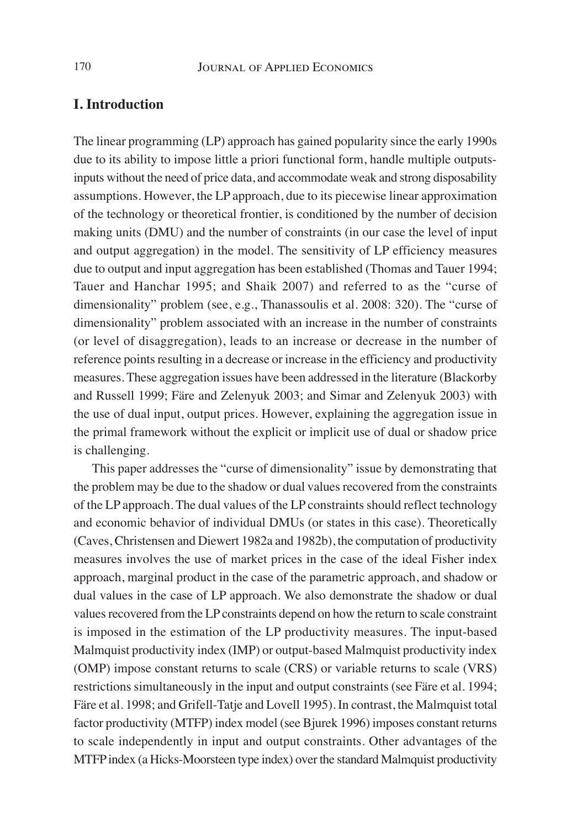## **I. Introduction**

The linear programming (LP) approach has gained popularity since the early 1990s due to its ability to impose little a priori functional form, handle multiple outputsinputs without the need of price data, and accommodate weak and strong disposability assumptions. However, the LP approach, due to its piecewise linear approximation of the technology or theoretical frontier, is conditioned by the number of decision making units (DMU) and the number of constraints (in our case the level of input and output aggregation) in the model. The sensitivity of LP efficiency measures due to output and input aggregation has been established (Thomas and Tauer 1994; Tauer and Hanchar 1995; and Shaik 2007) and referred to as the "curse of dimensionality" problem (see, e.g., Thanassoulis et al. 2008: 320). The "curse of dimensionality" problem associated with an increase in the number of constraints (or level of disaggregation), leads to an increase or decrease in the number of reference points resulting in a decrease or increase in the efficiency and productivity measures. These aggregation issues have been addressed in the literature (Blackorby and Russell 1999; Färe and Zelenyuk 2003; and Simar and Zelenyuk 2003) with the use of dual input, output prices. However, explaining the aggregation issue in the primal framework without the explicit or implicit use of dual or shadow price is challenging.

This paper addresses the "curse of dimensionality" issue by demonstrating that the problem may be due to the shadow or dual values recovered from the constraints of the LP approach. The dual values of the LP constraints should reflect technology and economic behavior of individual DMUs (or states in this case). Theoretically (Caves, Christensen and Diewert 1982a and 1982b), the computation of productivity measures involves the use of market prices in the case of the ideal Fisher index approach, marginal product in the case of the parametric approach, and shadow or dual values in the case of LP approach. We also demonstrate the shadow or dual values recovered from the LP constraints depend on how the return to scale constraint is imposed in the estimation of the LP productivity measures. The input-based Malmquist productivity index (IMP) or output-based Malmquist productivity index (OMP) impose constant returns to scale (CRS) or variable returns to scale (VRS) restrictions simultaneously in the input and output constraints (see Färe et al. 1994; Färe et al. 1998; and Grifell-Tatje and Lovell 1995). In contrast, the Malmquist total factor productivity (MTFP) index model (see Bjurek 1996) imposes constant returns to scale independently in input and output constraints. Other advantages of the MTFP index (a Hicks-Moorsteen type index) over the standard Malmquist productivity